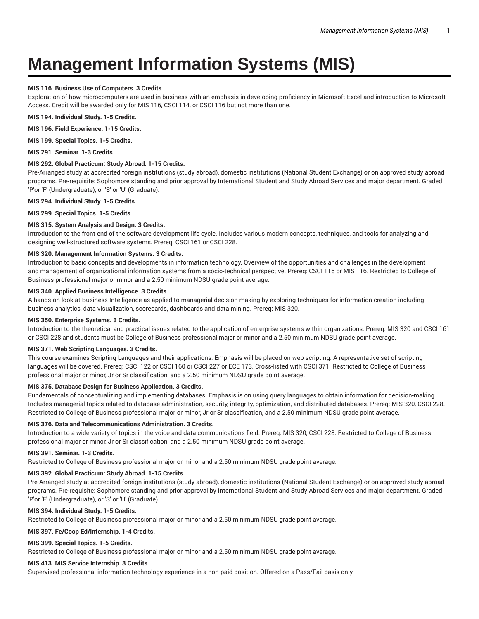# **Management Information Systems (MIS)**

## **MIS 116. Business Use of Computers. 3 Credits.**

Exploration of how microcomputers are used in business with an emphasis in developing proficiency in Microsoft Excel and introduction to Microsoft Access. Credit will be awarded only for MIS 116, CSCI 114, or CSCI 116 but not more than one.

**MIS 194. Individual Study. 1-5 Credits.**

**MIS 196. Field Experience. 1-15 Credits.**

**MIS 199. Special Topics. 1-5 Credits.**

**MIS 291. Seminar. 1-3 Credits.**

#### **MIS 292. Global Practicum: Study Abroad. 1-15 Credits.**

Pre-Arranged study at accredited foreign institutions (study abroad), domestic institutions (National Student Exchange) or on approved study abroad programs. Pre-requisite: Sophomore standing and prior approval by International Student and Study Abroad Services and major department. Graded 'P'or 'F' (Undergraduate), or 'S' or 'U' (Graduate).

**MIS 294. Individual Study. 1-5 Credits.**

**MIS 299. Special Topics. 1-5 Credits.**

## **MIS 315. System Analysis and Design. 3 Credits.**

Introduction to the front end of the software development life cycle. Includes various modern concepts, techniques, and tools for analyzing and designing well-structured software systems. Prereq: CSCI 161 or CSCI 228.

#### **MIS 320. Management Information Systems. 3 Credits.**

Introduction to basic concepts and developments in information technology. Overview of the opportunities and challenges in the development and management of organizational information systems from a socio-technical perspective. Prereq: CSCI 116 or MIS 116. Restricted to College of Business professional major or minor and a 2.50 minimum NDSU grade point average.

## **MIS 340. Applied Business Intelligence. 3 Credits.**

A hands-on look at Business Intelligence as applied to managerial decision making by exploring techniques for information creation including business analytics, data visualization, scorecards, dashboards and data mining. Prereq: MIS 320.

## **MIS 350. Enterprise Systems. 3 Credits.**

Introduction to the theoretical and practical issues related to the application of enterprise systems within organizations. Prereq: MIS 320 and CSCI 161 or CSCI 228 and students must be College of Business professional major or minor and a 2.50 minimum NDSU grade point average.

#### **MIS 371. Web Scripting Languages. 3 Credits.**

This course examines Scripting Languages and their applications. Emphasis will be placed on web scripting. A representative set of scripting languages will be covered. Prereq: CSCI 122 or CSCI 160 or CSCI 227 or ECE 173. Cross-listed with CSCI 371. Restricted to College of Business professional major or minor, Jr or Sr classification, and a 2.50 minimum NDSU grade point average.

#### **MIS 375. Database Design for Business Application. 3 Credits.**

Fundamentals of conceptualizing and implementing databases. Emphasis is on using query languages to obtain information for decision-making. Includes managerial topics related to database administration, security, integrity, optimization, and distributed databases. Prereq: MIS 320, CSCI 228. Restricted to College of Business professional major or minor, Jr or Sr classification, and a 2.50 minimum NDSU grade point average.

#### **MIS 376. Data and Telecommunications Administration. 3 Credits.**

Introduction to a wide variety of topics in the voice and data communications field. Prereq: MIS 320, CSCI 228. Restricted to College of Business professional major or minor, Jr or Sr classification, and a 2.50 minimum NDSU grade point average.

#### **MIS 391. Seminar. 1-3 Credits.**

Restricted to College of Business professional major or minor and a 2.50 minimum NDSU grade point average.

#### **MIS 392. Global Practicum: Study Abroad. 1-15 Credits.**

Pre-Arranged study at accredited foreign institutions (study abroad), domestic institutions (National Student Exchange) or on approved study abroad programs. Pre-requisite: Sophomore standing and prior approval by International Student and Study Abroad Services and major department. Graded 'P'or 'F' (Undergraduate), or 'S' or 'U' (Graduate).

#### **MIS 394. Individual Study. 1-5 Credits.**

Restricted to College of Business professional major or minor and a 2.50 minimum NDSU grade point average.

#### **MIS 397. Fe/Coop Ed/Internship. 1-4 Credits.**

#### **MIS 399. Special Topics. 1-5 Credits.**

Restricted to College of Business professional major or minor and a 2.50 minimum NDSU grade point average.

## **MIS 413. MIS Service Internship. 3 Credits.**

Supervised professional information technology experience in a non-paid position. Offered on a Pass/Fail basis only.